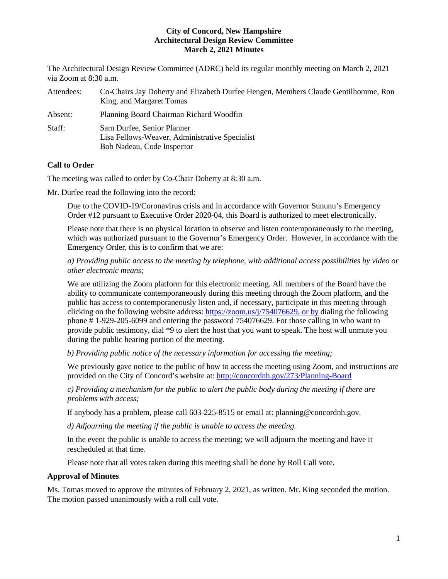The Architectural Design Review Committee (ADRC) held its regular monthly meeting on March 2, 2021 via Zoom at 8:30 a.m.

| Attendees: | Co-Chairs Jay Doherty and Elizabeth Durfee Hengen, Members Claude Gentilhomme, Ron<br>King, and Margaret Tomas |
|------------|----------------------------------------------------------------------------------------------------------------|
| Absent:    | Planning Board Chairman Richard Woodfin                                                                        |
| Staff:     | Sam Durfee, Senior Planner<br>Lisa Fellows-Weaver, Administrative Specialist<br>Bob Nadeau, Code Inspector     |

# **Call to Order**

The meeting was called to order by Co-Chair Doherty at 8:30 a.m.

Mr. Durfee read the following into the record:

Due to the COVID-19/Coronavirus crisis and in accordance with Governor Sununu's Emergency Order #12 pursuant to Executive Order 2020-04, this Board is authorized to meet electronically.

Please note that there is no physical location to observe and listen contemporaneously to the meeting, which was authorized pursuant to the Governor's Emergency Order. However, in accordance with the Emergency Order, this is to confirm that we are:

*a) Providing public access to the meeting by telephone, with additional access possibilities by video or other electronic means;* 

We are utilizing the Zoom platform for this electronic meeting. All members of the Board have the ability to communicate contemporaneously during this meeting through the Zoom platform, and the public has access to contemporaneously listen and, if necessary, participate in this meeting through clicking on the following website address: [https://zoom.us/j/754076629,](https://zoom.us/j/754076629) or by dialing the following phone # 1-929-205-6099 and entering the password 754076629. For those calling in who want to provide public testimony, dial \*9 to alert the host that you want to speak. The host will unmute you during the public hearing portion of the meeting.

*b) Providing public notice of the necessary information for accessing the meeting;*

We previously gave notice to the public of how to access the meeting using Zoom, and instructions are provided on the City of Concord's website at: <http://concordnh.gov/273/Planning-Board>

*c) Providing a mechanism for the public to alert the public body during the meeting if there are problems with access;* 

If anybody has a problem, please call 603-225-8515 or email at: planning@concordnh.gov.

*d) Adjourning the meeting if the public is unable to access the meeting.*

In the event the public is unable to access the meeting; we will adjourn the meeting and have it rescheduled at that time.

Please note that all votes taken during this meeting shall be done by Roll Call vote.

#### **Approval of Minutes**

Ms. Tomas moved to approve the minutes of February 2, 2021, as written. Mr. King seconded the motion. The motion passed unanimously with a roll call vote.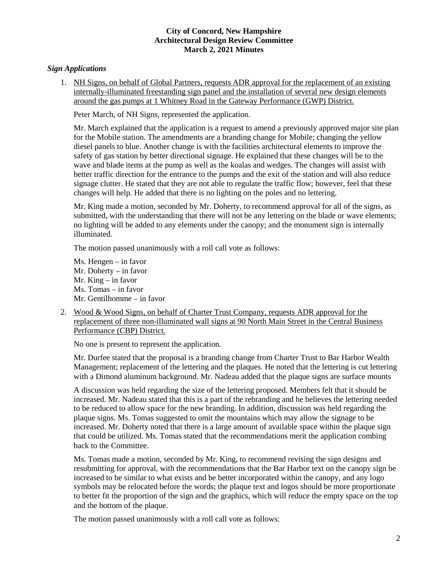## *Sign Applications*

1. NH Signs, on behalf of Global Partners, requests ADR approval for the replacement of an existing internally-illuminated freestanding sign panel and the installation of several new design elements around the gas pumps at 1 Whitney Road in the Gateway Performance (GWP) District.

Peter March, of NH Signs, represented the application.

Mr. March explained that the application is a request to amend a previously approved major site plan for the Mobile station. The amendments are a branding change for Mobile; changing the yellow diesel panels to blue. Another change is with the facilities architectural elements to improve the safety of gas station by better directional signage. He explained that these changes will be to the wave and blade items at the pump as well as the koalas and wedges. The changes will assist with better traffic direction for the entrance to the pumps and the exit of the station and will also reduce signage clutter. He stated that they are not able to regulate the traffic flow; however, feel that these changes will help. He added that there is no lighting on the poles and no lettering.

Mr. King made a motion, seconded by Mr. Doherty, to recommend approval for all of the signs, as submitted, with the understanding that there will not be any lettering on the blade or wave elements; no lighting will be added to any elements under the canopy; and the monument sign is internally illuminated.

The motion passed unanimously with a roll call vote as follows:

Ms. Hengen – in favor Mr. Doherty – in favor Mr. King – in favor Ms. Tomas – in favor Mr. Gentilhomme – in favor

2. Wood & Wood Signs, on behalf of Charter Trust Company, requests ADR approval for the replacement of three non-illuminated wall signs at 90 North Main Street in the Central Business Performance (CBP) District.

No one is present to represent the application.

Mr. Durfee stated that the proposal is a branding change from Charter Trust to Bar Harbor Wealth Management; replacement of the lettering and the plaques. He noted that the lettering is cut lettering with a Dimond aluminum background. Mr. Nadeau added that the plaque signs are surface mounts

A discussion was held regarding the size of the lettering proposed. Members felt that it should be increased. Mr. Nadeau stated that this is a part of the rebranding and he believes the lettering needed to be reduced to allow space for the new branding. In addition, discussion was held regarding the plaque signs. Ms. Tomas suggested to omit the mountains which may allow the signage to be increased. Mr. Doherty noted that there is a large amount of available space within the plaque sign that could be utilized. Ms. Tomas stated that the recommendations merit the application combing back to the Committee.

Ms. Tomas made a motion, seconded by Mr. King, to recommend revising the sign designs and resubmitting for approval, with the recommendations that the Bar Harbor text on the canopy sign be increased to be similar to what exists and be better incorporated within the canopy, and any logo symbols may be relocated before the words; the plaque text and logos should be more proportionate to better fit the proportion of the sign and the graphics, which will reduce the empty space on the top and the bottom of the plaque.

The motion passed unanimously with a roll call vote as follows: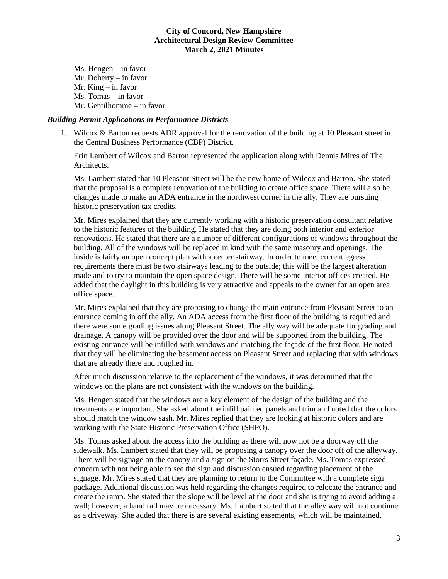Ms. Hengen – in favor Mr. Doherty – in favor Mr. King – in favor Ms. Tomas – in favor Mr. Gentilhomme – in favor

#### *Building Permit Applications in Performance Districts*

1. Wilcox & Barton requests ADR approval for the renovation of the building at 10 Pleasant street in the Central Business Performance (CBP) District.

Erin Lambert of Wilcox and Barton represented the application along with Dennis Mires of The Architects.

Ms. Lambert stated that 10 Pleasant Street will be the new home of Wilcox and Barton. She stated that the proposal is a complete renovation of the building to create office space. There will also be changes made to make an ADA entrance in the northwest corner in the ally. They are pursuing historic preservation tax credits.

Mr. Mires explained that they are currently working with a historic preservation consultant relative to the historic features of the building. He stated that they are doing both interior and exterior renovations. He stated that there are a number of different configurations of windows throughout the building. All of the windows will be replaced in kind with the same masonry and openings. The inside is fairly an open concept plan with a center stairway. In order to meet current egress requirements there must be two stairways leading to the outside; this will be the largest alteration made and to try to maintain the open space design. There will be some interior offices created. He added that the daylight in this building is very attractive and appeals to the owner for an open area office space.

Mr. Mires explained that they are proposing to change the main entrance from Pleasant Street to an entrance coming in off the ally. An ADA access from the first floor of the building is required and there were some grading issues along Pleasant Street. The ally way will be adequate for grading and drainage. A canopy will be provided over the door and will be supported from the building. The existing entrance will be infilled with windows and matching the façade of the first floor. He noted that they will be eliminating the basement access on Pleasant Street and replacing that with windows that are already there and roughed in.

After much discussion relative to the replacement of the windows, it was determined that the windows on the plans are not consistent with the windows on the building.

Ms. Hengen stated that the windows are a key element of the design of the building and the treatments are important. She asked about the infill painted panels and trim and noted that the colors should match the window sash. Mr. Mires replied that they are looking at historic colors and are working with the State Historic Preservation Office (SHPO).

Ms. Tomas asked about the access into the building as there will now not be a doorway off the sidewalk. Ms. Lambert stated that they will be proposing a canopy over the door off of the alleyway. There will be signage on the canopy and a sign on the Storrs Street façade. Ms. Tomas expressed concern with not being able to see the sign and discussion ensued regarding placement of the signage. Mr. Mires stated that they are planning to return to the Committee with a complete sign package. Additional discussion was held regarding the changes required to relocate the entrance and create the ramp. She stated that the slope will be level at the door and she is trying to avoid adding a wall; however, a hand rail may be necessary. Ms. Lambert stated that the alley way will not continue as a driveway. She added that there is are several existing easements, which will be maintained.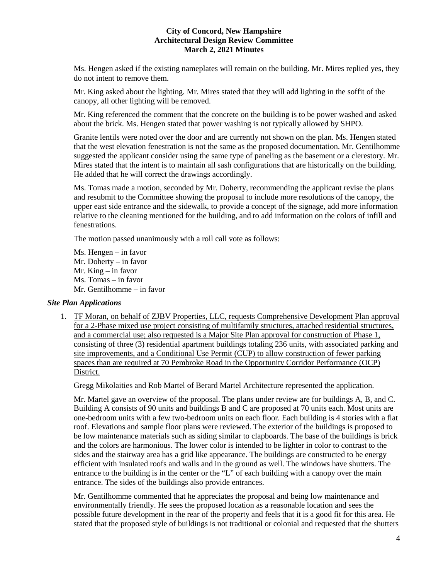Ms. Hengen asked if the existing nameplates will remain on the building. Mr. Mires replied yes, they do not intent to remove them.

Mr. King asked about the lighting. Mr. Mires stated that they will add lighting in the soffit of the canopy, all other lighting will be removed.

Mr. King referenced the comment that the concrete on the building is to be power washed and asked about the brick. Ms. Hengen stated that power washing is not typically allowed by SHPO.

Granite lentils were noted over the door and are currently not shown on the plan. Ms. Hengen stated that the west elevation fenestration is not the same as the proposed documentation. Mr. Gentilhomme suggested the applicant consider using the same type of paneling as the basement or a clerestory. Mr. Mires stated that the intent is to maintain all sash configurations that are historically on the building. He added that he will correct the drawings accordingly.

Ms. Tomas made a motion, seconded by Mr. Doherty, recommending the applicant revise the plans and resubmit to the Committee showing the proposal to include more resolutions of the canopy, the upper east side entrance and the sidewalk, to provide a concept of the signage, add more information relative to the cleaning mentioned for the building, and to add information on the colors of infill and fenestrations.

The motion passed unanimously with a roll call vote as follows:

Ms. Hengen – in favor Mr. Doherty – in favor Mr. King – in favor Ms. Tomas – in favor Mr. Gentilhomme – in favor

## *Site Plan Applications*

1. TF Moran, on behalf of ZJBV Properties, LLC, requests Comprehensive Development Plan approval for a 2-Phase mixed use project consisting of multifamily structures, attached residential structures, and a commercial use; also requested is a Major Site Plan approval for construction of Phase 1, consisting of three (3) residential apartment buildings totaling 236 units, with associated parking and site improvements, and a Conditional Use Permit (CUP) to allow construction of fewer parking spaces than are required at 70 Pembroke Road in the Opportunity Corridor Performance (OCP) District.

Gregg Mikolaities and Rob Martel of Berard Martel Architecture represented the application.

Mr. Martel gave an overview of the proposal. The plans under review are for buildings A, B, and C. Building A consists of 90 units and buildings B and C are proposed at 70 units each. Most units are one-bedroom units with a few two-bedroom units on each floor. Each building is 4 stories with a flat roof. Elevations and sample floor plans were reviewed. The exterior of the buildings is proposed to be low maintenance materials such as siding similar to clapboards. The base of the buildings is brick and the colors are harmonious. The lower color is intended to be lighter in color to contrast to the sides and the stairway area has a grid like appearance. The buildings are constructed to be energy efficient with insulated roofs and walls and in the ground as well. The windows have shutters. The entrance to the building is in the center or the "L" of each building with a canopy over the main entrance. The sides of the buildings also provide entrances.

Mr. Gentilhomme commented that he appreciates the proposal and being low maintenance and environmentally friendly. He sees the proposed location as a reasonable location and sees the possible future development in the rear of the property and feels that it is a good fit for this area. He stated that the proposed style of buildings is not traditional or colonial and requested that the shutters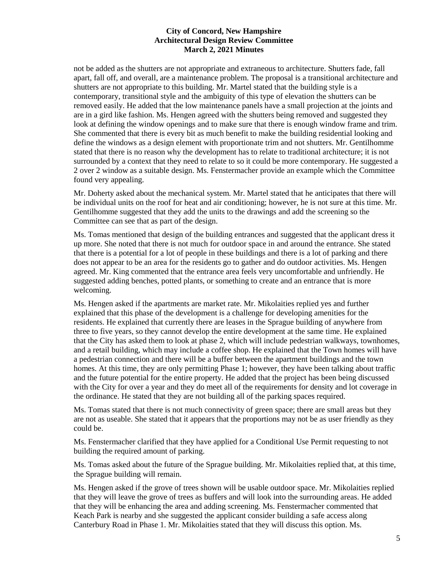not be added as the shutters are not appropriate and extraneous to architecture. Shutters fade, fall apart, fall off, and overall, are a maintenance problem. The proposal is a transitional architecture and shutters are not appropriate to this building. Mr. Martel stated that the building style is a contemporary, transitional style and the ambiguity of this type of elevation the shutters can be removed easily. He added that the low maintenance panels have a small projection at the joints and are in a gird like fashion. Ms. Hengen agreed with the shutters being removed and suggested they look at defining the window openings and to make sure that there is enough window frame and trim. She commented that there is every bit as much benefit to make the building residential looking and define the windows as a design element with proportionate trim and not shutters. Mr. Gentilhomme stated that there is no reason why the development has to relate to traditional architecture; it is not surrounded by a context that they need to relate to so it could be more contemporary. He suggested a 2 over 2 window as a suitable design. Ms. Fenstermacher provide an example which the Committee found very appealing.

Mr. Doherty asked about the mechanical system. Mr. Martel stated that he anticipates that there will be individual units on the roof for heat and air conditioning; however, he is not sure at this time. Mr. Gentilhomme suggested that they add the units to the drawings and add the screening so the Committee can see that as part of the design.

Ms. Tomas mentioned that design of the building entrances and suggested that the applicant dress it up more. She noted that there is not much for outdoor space in and around the entrance. She stated that there is a potential for a lot of people in these buildings and there is a lot of parking and there does not appear to be an area for the residents go to gather and do outdoor activities. Ms. Hengen agreed. Mr. King commented that the entrance area feels very uncomfortable and unfriendly. He suggested adding benches, potted plants, or something to create and an entrance that is more welcoming.

Ms. Hengen asked if the apartments are market rate. Mr. Mikolaities replied yes and further explained that this phase of the development is a challenge for developing amenities for the residents. He explained that currently there are leases in the Sprague building of anywhere from three to five years, so they cannot develop the entire development at the same time. He explained that the City has asked them to look at phase 2, which will include pedestrian walkways, townhomes, and a retail building, which may include a coffee shop. He explained that the Town homes will have a pedestrian connection and there will be a buffer between the apartment buildings and the town homes. At this time, they are only permitting Phase 1; however, they have been talking about traffic and the future potential for the entire property. He added that the project has been being discussed with the City for over a year and they do meet all of the requirements for density and lot coverage in the ordinance. He stated that they are not building all of the parking spaces required.

Ms. Tomas stated that there is not much connectivity of green space; there are small areas but they are not as useable. She stated that it appears that the proportions may not be as user friendly as they could be.

Ms. Fenstermacher clarified that they have applied for a Conditional Use Permit requesting to not building the required amount of parking.

Ms. Tomas asked about the future of the Sprague building. Mr. Mikolaities replied that, at this time, the Sprague building will remain.

Ms. Hengen asked if the grove of trees shown will be usable outdoor space. Mr. Mikolaities replied that they will leave the grove of trees as buffers and will look into the surrounding areas. He added that they will be enhancing the area and adding screening. Ms. Fenstermacher commented that Keach Park is nearby and she suggested the applicant consider building a safe access along Canterbury Road in Phase 1. Mr. Mikolaities stated that they will discuss this option. Ms.